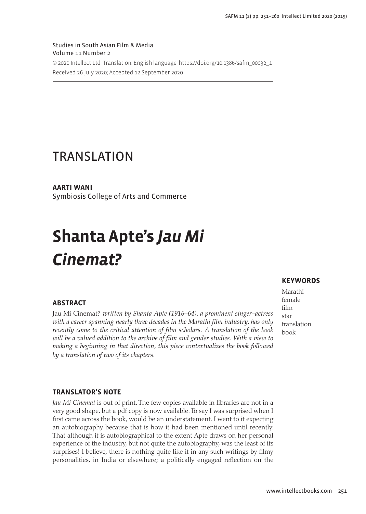Studies in South Asian Film & Media Volume 11 Number 2 © 2020 Intellect Ltd Translation. English language. [https://doi.org/10.1386/safm\\_00032\\_1](https://doi.org/10.1386/safm_00032_1) Received 26 July 2020; Accepted 12 September 2020

# TRANSLATION

**AARTI WANI**

Symbiosis College of Arts and Commerce

# **Shanta Apte's** *Jau Mi Cinemat?*

# **ABSTRACT**

Jau Mi Cinemat*? written by Shanta Apte (1916–64), a prominent singer–actress with a career spanning nearly three decades in the Marathi film industry, has only recently come to the critical attention of film scholars. A translation of the book*  will be a valued addition to the archive of film and gender studies. With a view to *making a beginning in that direction, this piece contextualizes the book followed by a translation of two of its chapters.*

## **KEYWORDS**

Marathi female film star translation book

### **TRANSLATOR'S NOTE**

*Jau Mi Cinemat* is out of print. The few copies available in libraries are not in a very good shape, but a pdf copy is now available. To say I was surprised when I first came across the book, would be an understatement. I went to it expecting an autobiography because that is how it had been mentioned until recently. That although it is autobiographical to the extent Apte draws on her personal experience of the industry, but not quite the autobiography, was the least of its surprises! I believe, there is nothing quite like it in any such writings by filmy personalities, in India or elsewhere; a politically engaged reflection on the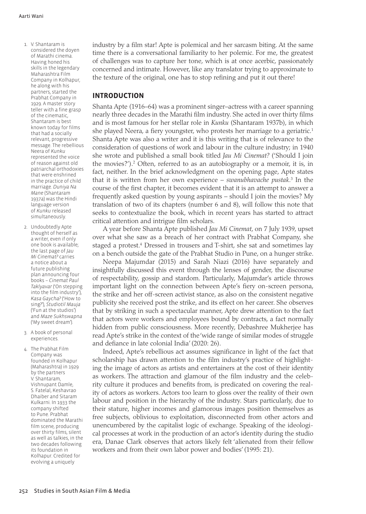- 1. V. Shantaram is considered the doyen of Marathi cinema. Having honed his skills in the legendary Maharashtra Film Company in Kolhapur, he along with his partners, started the Prabhat Company in 1929. A master story teller with a fine grasp of the cinematic, Shantaram is best known today for films that had a socially relevant, progressive message. The rebellious Neera of *Kunku* represented the voice of reason against old patriarchal orthodoxies that were enshrined in the practice of child marriage. *Duniya Na Mane* (Shantaram 1937a) was the Hindi language version of *Kunku* released simultaneously.
- 2. Undoubtedly Apte thought of herself as a writer, even if only one book is available; the last page of *Jau Mi Cinemat?* carries a notice about a future publishing plan announcing four books – *Cinemat Paul Taklyavar* ('On stepping into the film industry'), *Kasa Gaycha?* ('How to sing?'), *Studiotil Mauja* ('Fun at the studios') and *Maze Sukhswapna* ('My sweet dream').
- 3. A book of personal experiences.

4. The Prabhat Film Company was founded in Kolhapur (Maharashtra) in 1929 by the partners V. Shantaram, Vishnupant Damle, S. Fatelal, Keshavrao Dhaiber and Sitaram Kulkarni. In 1933 the company shifted to Pune. Prabhat dominated the Marathi film scene, producing over thirty films, silent as well as talkies, in the two decades following its foundation in Kolhapur. Credited for evolving a uniquely

industry by a film star! Apte is polemical and her sarcasm biting. At the same time there is a conversational familiarity to her polemic. For me, the greatest of challenges was to capture her tone, which is at once acerbic, passionately concerned and intimate. However, like any translator trying to approximate to the texture of the original, one has to stop refining and put it out there!

#### **INTRODUCTION**

Shanta Apte (1916–64) was a prominent singer–actress with a career spanning nearly three decades in the Marathi film industry. She acted in over thirty films and is most famous for her stellar role in *Kunku* (Shantaram 1937b), in which she played Neera, a fiery youngster, who protests her marriage to a geriatric.<sup>1</sup> Shanta Apte was also a writer and it is this writing that is of relevance to the consideration of questions of work and labour in the culture industry; in 1940 she wrote and published a small book titled *Jau Mi Cinemat?* ('Should I join the movies?').<sup>2</sup> Often, referred to as an autobiography or a memoir, it is, in fact, neither. In the brief acknowledgment on the opening page, Apte states that it is written from her own experience – *swanubhavache pustak*. 3 In the course of the first chapter, it becomes evident that it is an attempt to answer a frequently asked question by young aspirants – should I join the movies? My translation of two of its chapters (number 6 and 8), will follow this note that seeks to contextualize the book, which in recent years has started to attract critical attention and intrigue film scholars.

A year before Shanta Apte published *Jau Mi Cinemat*, on 7 July 1939, upset over what she saw as a breach of her contract with Prabhat Company, she staged a protest.<sup>4</sup> Dressed in trousers and T-shirt, she sat and sometimes lay on a bench outside the gate of the Prabhat Studio in Pune, on a hunger strike.

Neepa Majumdar (2015) and Sarah Niazi (2016) have separately and insightfully discussed this event through the lenses of gender, the discourse of respectability, gossip and stardom. Particularly, Majumdar's article throws important light on the connection between Apte's fiery on-screen persona, the strike and her off-screen activist stance, as also on the consistent negative publicity she received post the strike, and its effect on her career. She observes that by striking in such a spectacular manner, Apte drew attention to the fact that actors were workers and employees bound by contracts, a fact normally hidden from public consciousness. More recently, Debashree Mukherjee has read Apte's strike in the context of the 'wide range of similar modes of struggle and defiance in late colonial India' (2020: 26).

Indeed, Apte's rebellious act assumes significance in light of the fact that scholarship has drawn attention to the film industry's practice of highlighting the image of actors as artists and entertainers at the cost of their identity as workers. The attraction and glamour of the film industry and the celebrity culture it produces and benefits from, is predicated on covering the reality of actors as workers. Actors too learn to gloss over the reality of their own labour and position in the hierarchy of the industry. Stars particularly, due to their stature, higher incomes and glamorous images position themselves as free subjects, oblivious to exploitation, disconnected from other actors and unencumbered by the capitalist logic of exchange. Speaking of the ideological processes at work in the production of an actor's identity during the studio era, Danae Clark observes that actors likely felt 'alienated from their fellow workers and from their own labor power and bodies' (1995: 21).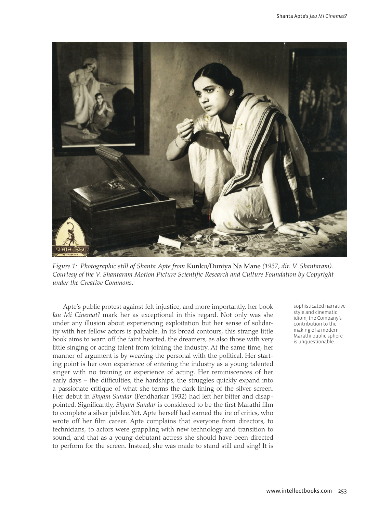

*Figure 1: Photographic still of Shanta Apte from* Kunku*/*Duniya Na Mane *(1937, dir. V. Shantaram). Courtesy of the V. Shantaram Motion Picture Scientific Research and Culture Foundation by Copyright under the Creative Commons.*

Apte's public protest against felt injustice, and more importantly, her book *Jau Mi Cinemat?* mark her as exceptional in this regard. Not only was she under any illusion about experiencing exploitation but her sense of solidarity with her fellow actors is palpable. In its broad contours, this strange little book aims to warn off the faint hearted, the dreamers, as also those with very little singing or acting talent from joining the industry. At the same time, her manner of argument is by weaving the personal with the political. Her starting point is her own experience of entering the industry as a young talented singer with no training or experience of acting. Her reminiscences of her early days – the difficulties, the hardships, the struggles quickly expand into a passionate critique of what she terms the dark lining of the silver screen. Her debut in *Shyam Sundar* (Pendharkar 1932) had left her bitter and disappointed. Significantly, *Shyam Sundar* is considered to be the first Marathi film to complete a silver jubilee. Yet, Apte herself had earned the ire of critics, who wrote off her film career. Apte complains that everyone from directors, to technicians, to actors were grappling with new technology and transition to sound, and that as a young debutant actress she should have been directed to perform for the screen. Instead, she was made to stand still and sing! It is

sophisticated narrative style and cinematic idiom, the Company's contribution to the making of a modern Marathi public sphere is unquestionable.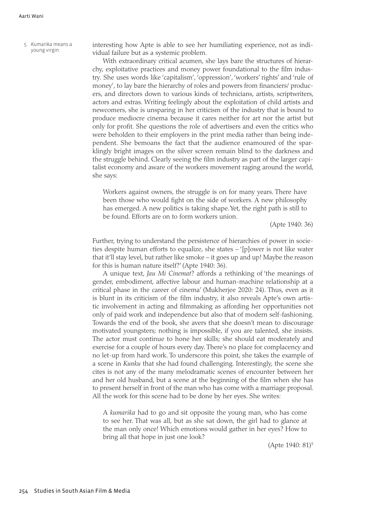5. *Kumarika* means a

Kumarika means a interesting how Apte is able to see her humiliating experience, not as individual failure but as a systemic problem.

> With extraordinary critical acumen, she lays bare the structures of hierarchy, exploitative practices and money power foundational to the film industry. She uses words like 'capitalism', 'oppression', 'workers' rights' and 'rule of money', to lay bare the hierarchy of roles and powers from financiers/ producers, and directors down to various kinds of technicians, artists, scriptwriters, actors and extras. Writing feelingly about the exploitation of child artists and newcomers, she is unsparing in her criticism of the industry that is bound to produce mediocre cinema because it cares neither for art nor the artist but only for profit. She questions the role of advertisers and even the critics who were beholden to their employers in the print media rather than being independent. She bemoans the fact that the audience enamoured of the sparklingly bright images on the silver screen remain blind to the darkness and the struggle behind. Clearly seeing the film industry as part of the larger capitalist economy and aware of the workers movement raging around the world, she says:

Workers against owners, the struggle is on for many years. There have been those who would fight on the side of workers. A new philosophy has emerged. A new politics is taking shape. Yet, the right path is still to be found. Efforts are on to form workers union.

(Apte 1940: 36)

Further, trying to understand the persistence of hierarchies of power in societies despite human efforts to equalize, she states – '[p]ower is not like water that it'll stay level, but rather like smoke – it goes up and up! Maybe the reason for this is human nature itself?' (Apte 1940: 36).

A unique text, *Jau Mi Cinemat*? affords a rethinking of 'the meanings of gender, embodiment, affective labour and human-machine relationship at a critical phase in the career of cinema' (Mukherjee 2020: 24). Thus, even as it is blunt in its criticism of the film industry, it also reveals Apte's own artistic involvement in acting and filmmaking as affording her opportunities not only of paid work and independence but also that of modern self-fashioning. Towards the end of the book, she avers that she doesn't mean to discourage motivated youngsters; nothing is impossible, if you are talented, she insists. The actor must continue to hone her skills; she should eat moderately and exercise for a couple of hours every day. There's no place for complacency and no let-up from hard work. To underscore this point, she takes the example of a scene in *Kunku* that she had found challenging. Interestingly, the scene she cites is not any of the many melodramatic scenes of encounter between her and her old husband, but a scene at the beginning of the film when she has to present herself in front of the man who has come with a marriage proposal. All the work for this scene had to be done by her eyes. She writes:

A *kumarika* had to go and sit opposite the young man, who has come to see her. That was all, but as she sat down, the girl had to glance at the man only once! Which emotions would gather in her eyes? How to bring all that hope in just one look?

(Apte 1940: 81)5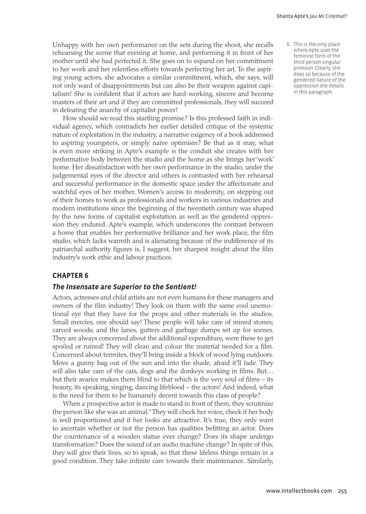Unhappy with her own performance on the sets during the shoot, she recalls rehearsing the scene that evening at home, and performing it in front of her mother until she had perfected it. She goes on to expand on her commitment to her work and her relentless efforts towards perfecting her art. To the aspiring young actors, she advocates a similar commitment, which, she says, will not only ward of disappointments but can also be their weapon against capitalism! She is confident that if actors are hard-working, sincere and become masters of their art and if they are committed professionals, they will succeed in defeating the anarchy of capitalist power!

How should we read this startling promise? Is this professed faith in individual agency, which contradicts her earlier detailed critique of the systemic nature of exploitation in the industry, a narrative exigency of a book addressed to aspiring youngsters, or simply naïve optimism? Be that as it may, what is even more striking in Apte's example is the conduit she creates with her performative body between the studio and the home as she brings her 'work' home. Her dissatisfaction with her own performance in the studio, under the judgemental eyes of the director and others is contrasted with her rehearsal and successful performance in the domestic space under the affectionate and watchful eyes of her mother. Women's access to modernity, on stepping out of their homes to work as professionals and workers in various industries and modern institutions since the beginning of the twentieth century was shaped by the new forms of capitalist exploitation as well as the gendered oppression they endured. Apte's example, which underscores the contrast between a home that enables her performative brilliance and her work place, the film studio, which lacks warmth and is alienating because of the indifference of its patriarchal authority figures is, I suggest, her sharpest insight about the film industry's work ethic and labour practices.

#### **CHAPTER 6**

#### *The Insensate are Superior to the Sentient!*

Actors, actresses and child artists are not even humans for these managers and owners of the film industry! They look on them with the same cool unemotional eye that they have for the props and other materials in the studios. Small mercies, one should say! These people will take care of mined stones; carved woods; and the lanes, gutters and garbage dumps set up for scenes. They are always concerned about the additional expenditure, were these to get spoiled or ruined! They will clean and colour the material needed for a film. Concerned about termites, they'll bring inside a block of wood lying outdoors. Move a gunny bag out of the sun and into the shade, afraid it'll fade. They will also take care of the cats, dogs and the donkeys working in films. But… but their avarice makes them blind to that which is the very soul of films – its beauty, its speaking, singing, dancing lifeblood – the actors! And indeed, what is the need for them to be humanely decent towards this class of people?

When a prospective actor is made to stand in front of them, they scrutinize the person like she was an animal.<sup>6</sup> They will check her voice, check if her body is well proportioned and if her looks are attractive. It's true, they only want to ascertain whether or not the person has qualities befitting an actor. Does the countenance of a wooden statue ever change? Does its shape undergo transformation? Does the sound of an audio machine change? In spite of this, they will give their lives, so to speak, so that these lifeless things remain in a good condition. They take infinite care towards their maintenance. Similarly, 6. This is the only place where Apte uses the feminine form of the third person singular pronoun. Clearly, she does so because of the gendered nature of the oppression she details in this paragraph.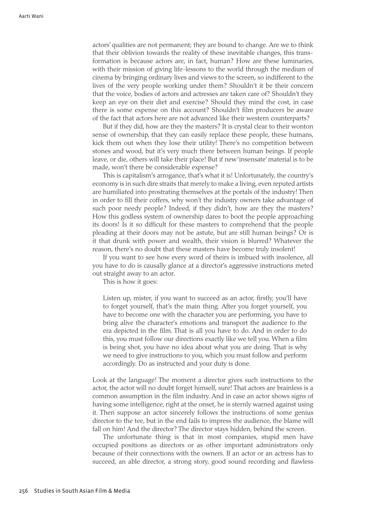actors' qualities are not permanent; they are bound to change. Are we to think that their oblivion towards the reality of these inevitable changes, this transformation is because actors are, in fact, human? How are these luminaries, with their mission of giving life-lessons to the world through the medium of cinema by bringing ordinary lives and views to the screen, so indifferent to the lives of the very people working under them? Shouldn't it be their concern that the voice, bodies of actors and actresses are taken care of? Shouldn't they keep an eye on their diet and exercise? Should they mind the cost, in case there is some expense on this account? Shouldn't film producers be aware of the fact that actors here are not advanced like their western counterparts?

But if they did, how are they the masters? It is crystal clear to their wonton sense of ownership, that they can easily replace these people, these humans, kick them out when they lose their utility! There's no competition between stones and wood, but it's very much there between human beings. If people leave, or die, others will take their place! But if new 'insensate' material is to be made, won't there be considerable expense?

This is capitalism's arrogance, that's what it is! Unfortunately, the country's economy is in such dire straits that merely to make a living, even reputed artists are humiliated into prostrating themselves at the portals of the industry! Then in order to fill their coffers, why won't the industry owners take advantage of such poor needy people? Indeed, if they didn't, how are they the masters? How this godless system of ownership dares to boot the people approaching its doors! Is it so difficult for these masters to comprehend that the people pleading at their doors may not be astute, but are still human beings? Or is it that drunk with power and wealth, their vision is blurred? Whatever the reason, there's no doubt that these masters have become truly insolent!

If you want to see how every word of theirs is imbued with insolence, all you have to do is causally glance at a director's aggressive instructions meted out straight away to an actor.

This is how it goes:

Listen up, mister, if you want to succeed as an actor, firstly, you'll have to forget yourself, that's the main thing. After you forget yourself, you have to become one with the character you are performing, you have to bring alive the character's emotions and transport the audience to the era depicted in the film. That is all you have to do. And in order to do this, you must follow our directions exactly like we tell you. When a film is being shot, you have no idea about what you are doing. That is why we need to give instructions to you, which you must follow and perform accordingly. Do as instructed and your duty is done.

Look at the language! The moment a director gives such instructions to the actor, the actor will no doubt forget himself, sure! That actors are brainless is a common assumption in the film industry. And in case an actor shows signs of having some intelligence, right at the onset, he is sternly warned against using it. Then suppose an actor sincerely follows the instructions of some genius director to the tee, but in the end fails to impress the audience, the blame will fall on him! And the director? The director stays hidden, behind the screen.

The unfortunate thing is that in most companies, stupid men have occupied positions as directors or as other important administrators only because of their connections with the owners. If an actor or an actress has to succeed, an able director, a strong story, good sound recording and flawless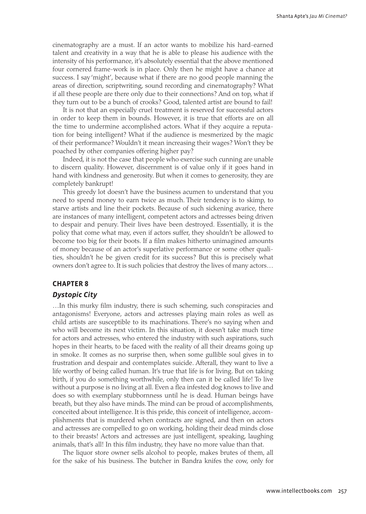cinematography are a must. If an actor wants to mobilize his hard-earned talent and creativity in a way that he is able to please his audience with the intensity of his performance, it's absolutely essential that the above mentioned four cornered frame-work is in place. Only then he might have a chance at success. I say 'might', because what if there are no good people manning the areas of direction, scriptwriting, sound recording and cinematography? What if all these people are there only due to their connections? And on top, what if they turn out to be a bunch of crooks? Good, talented artist are bound to fail!

It is not that an especially cruel treatment is reserved for successful actors in order to keep them in bounds. However, it is true that efforts are on all the time to undermine accomplished actors. What if they acquire a reputation for being intelligent? What if the audience is mesmerized by the magic of their performance? Wouldn't it mean increasing their wages? Won't they be poached by other companies offering higher pay?

Indeed, it is not the case that people who exercise such cunning are unable to discern quality. However, discernment is of value only if it goes hand in hand with kindness and generosity. But when it comes to generosity, they are completely bankrupt!

This greedy lot doesn't have the business acumen to understand that you need to spend money to earn twice as much. Their tendency is to skimp, to starve artists and line their pockets. Because of such sickening avarice, there are instances of many intelligent, competent actors and actresses being driven to despair and penury. Their lives have been destroyed. Essentially, it is the policy that come what may, even if actors suffer, they shouldn't be allowed to become too big for their boots. If a film makes hitherto unimagined amounts of money because of an actor's superlative performance or some other qualities, shouldn't he be given credit for its success? But this is precisely what owners don't agree to. It is such policies that destroy the lives of many actors…

#### **CHAPTER 8**

#### *Dystopic City*

…In this murky film industry, there is such scheming, such conspiracies and antagonisms! Everyone, actors and actresses playing main roles as well as child artists are susceptible to its machinations. There's no saying when and who will become its next victim. In this situation, it doesn't take much time for actors and actresses, who entered the industry with such aspirations, such hopes in their hearts, to be faced with the reality of all their dreams going up in smoke. It comes as no surprise then, when some gullible soul gives in to frustration and despair and contemplates suicide. Afterall, they want to live a life worthy of being called human. It's true that life is for living. But on taking birth, if you do something worthwhile, only then can it be called life! To live without a purpose is no living at all. Even a flea infested dog knows to live and does so with exemplary stubbornness until he is dead. Human beings have breath, but they also have minds. The mind can be proud of accomplishments, conceited about intelligence. It is this pride, this conceit of intelligence, accomplishments that is murdered when contracts are signed, and then on actors and actresses are compelled to go on working, holding their dead minds close to their breasts! Actors and actresses are just intelligent, speaking, laughing animals, that's all! In this film industry, they have no more value than that.

The liquor store owner sells alcohol to people, makes brutes of them, all for the sake of his business. The butcher in Bandra knifes the cow, only for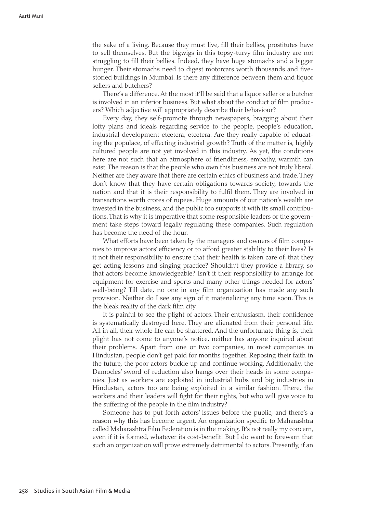the sake of a living. Because they must live, fill their bellies, prostitutes have to sell themselves. But the bigwigs in this topsy-turvy film industry are not struggling to fill their bellies. Indeed, they have huge stomachs and a bigger hunger. Their stomachs need to digest motorcars worth thousands and fivestoried buildings in Mumbai. Is there any difference between them and liquor sellers and butchers?

There's a difference. At the most it'll be said that a liquor seller or a butcher is involved in an inferior business. But what about the conduct of film producers? Which adjective will appropriately describe their behaviour?

Every day, they self-promote through newspapers, bragging about their lofty plans and ideals regarding service to the people, people's education, industrial development etcetera, etcetera. Are they really capable of educating the populace, of effecting industrial growth? Truth of the matter is, highly cultured people are not yet involved in this industry. As yet, the conditions here are not such that an atmosphere of friendliness, empathy, warmth can exist. The reason is that the people who own this business are not truly liberal. Neither are they aware that there are certain ethics of business and trade. They don't know that they have certain obligations towards society, towards the nation and that it is their responsibility to fulfil them. They are involved in transactions worth crores of rupees. Huge amounts of our nation's wealth are invested in the business, and the public too supports it with its small contributions. That is why it is imperative that some responsible leaders or the government take steps toward legally regulating these companies. Such regulation has become the need of the hour.

What efforts have been taken by the managers and owners of film companies to improve actors' efficiency or to afford greater stability to their lives? Is it not their responsibility to ensure that their health is taken care of, that they get acting lessons and singing practice? Shouldn't they provide a library, so that actors become knowledgeable? Isn't it their responsibility to arrange for equipment for exercise and sports and many other things needed for actors' well-being? Till date, no one in any film organization has made any such provision. Neither do I see any sign of it materializing any time soon. This is the bleak reality of the dark film city.

It is painful to see the plight of actors. Their enthusiasm, their confidence is systematically destroyed here. They are alienated from their personal life. All in all, their whole life can be shattered. And the unfortunate thing is, their plight has not come to anyone's notice, neither has anyone inquired about their problems. Apart from one or two companies, in most companies in Hindustan, people don't get paid for months together. Reposing their faith in the future, the poor actors buckle up and continue working. Additionally, the Damocles' sword of reduction also hangs over their heads in some companies. Just as workers are exploited in industrial hubs and big industries in Hindustan, actors too are being exploited in a similar fashion. There, the workers and their leaders will fight for their rights, but who will give voice to the suffering of the people in the film industry?

Someone has to put forth actors' issues before the public, and there's a reason why this has become urgent. An organization specific to Maharashtra called Maharashtra Film Federation is in the making. It's not really my concern, even if it is formed, whatever its cost-benefit! But I do want to forewarn that such an organization will prove extremely detrimental to actors. Presently, if an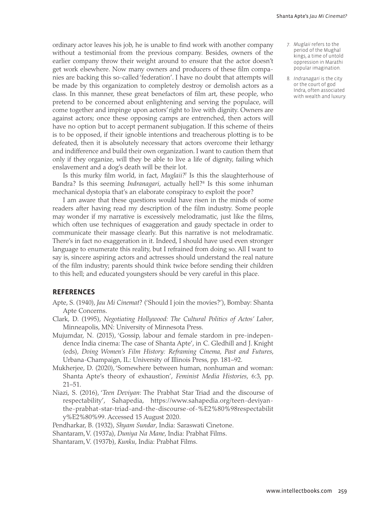ordinary actor leaves his job, he is unable to find work with another company without a testimonial from the previous company. Besides, owners of the earlier company throw their weight around to ensure that the actor doesn't get work elsewhere. Now many owners and producers of these film companies are backing this so-called 'federation'. I have no doubt that attempts will be made by this organization to completely destroy or demolish actors as a class. In this manner, these great benefactors of film art, these people, who pretend to be concerned about enlightening and serving the populace, will come together and impinge upon actors' right to live with dignity. Owners are against actors; once these opposing camps are entrenched, then actors will have no option but to accept permanent subjugation. If this scheme of theirs is to be opposed, if their ignoble intentions and treacherous plotting is to be defeated, then it is absolutely necessary that actors overcome their lethargy and indifference and build their own organization. I want to caution them that only if they organize, will they be able to live a life of dignity, failing which enslavement and a dog's death will be their lot.

Is this murky film world, in fact, *Muglaii?*<sup>7</sup> Is this the slaughterhouse of Bandra? Is this seeming *Indranagari,* actually hell?<sup>8</sup> Is this some inhuman mechanical dystopia that's an elaborate conspiracy to exploit the poor?

I am aware that these questions would have risen in the minds of some readers after having read my description of the film industry. Some people may wonder if my narrative is excessively melodramatic, just like the films, which often use techniques of exaggeration and gaudy spectacle in order to communicate their massage clearly. But this narrative is not melodramatic. There's in fact no exaggeration in it. Indeed, I should have used even stronger language to enumerate this reality, but I refrained from doing so. All I want to say is, sincere aspiring actors and actresses should understand the real nature of the film industry; parents should think twice before sending their children to this hell; and educated youngsters should be very careful in this place.

#### **REFERENCES**

- Apte, S. (1940), *Jau Mi Cinemat*? ('Should I join the movies?'), Bombay: Shanta Apte Concerns.
- Clark, D. (1995), *Negotiating Hollywood: The Cultural Politics of Actos' Labor*, Minneapolis, MN: University of Minnesota Press.
- Mujumdar, N. (2015), 'Gossip, labour and female stardom in pre-independence India cinema: The case of Shanta Apte', in C. Gledhill and J. Knight (eds), *Doing Women's Film History: Reframing Cinema, Past and Futures*, Urbana-Champaign, IL: University of Illinois Press, pp. 181–92.
- Mukherjee, D. (2020), 'Somewhere between human, nonhuman and woman: Shanta Apte's theory of exhaustion', *Feminist Media Histories*, 6:3, pp. 21–51.
- Niazi, S. (2016), '*Teen Deviyan*: The Prabhat Star Triad and the discourse of respectability', Sahapedia, [https://www.sahapedia.org/teen-deviyan](https://www.sahapedia.org/teen-deviyan-the-prabhat-star-triad-and-the-discourse-of-%E2%80%98respectability%E2%80%99)[the-prabhat-star-triad-and-the-discourse-of-%E2%80%98respectabilit](https://www.sahapedia.org/teen-deviyan-the-prabhat-star-triad-and-the-discourse-of-%E2%80%98respectability%E2%80%99) [y%E2%80%99.](https://www.sahapedia.org/teen-deviyan-the-prabhat-star-triad-and-the-discourse-of-%E2%80%98respectability%E2%80%99) Accessed 15 August 2020.

Pendharkar, B. (1932), *Shyam Sundar*, India: Saraswati Cinetone.

Shantaram, V. (1937a), *Duniya Na Mane*, India: Prabhat Films.

Shantaram, V. (1937b), *Kunku*, India: Prabhat Films.

- 7. *Muglaii* refers to the period of the Mughal kings, a time of untold oppression in Marathi popular imagination.
- 8. *Indranagari* is the city or the court of god Indra, often associated with wealth and luxury.